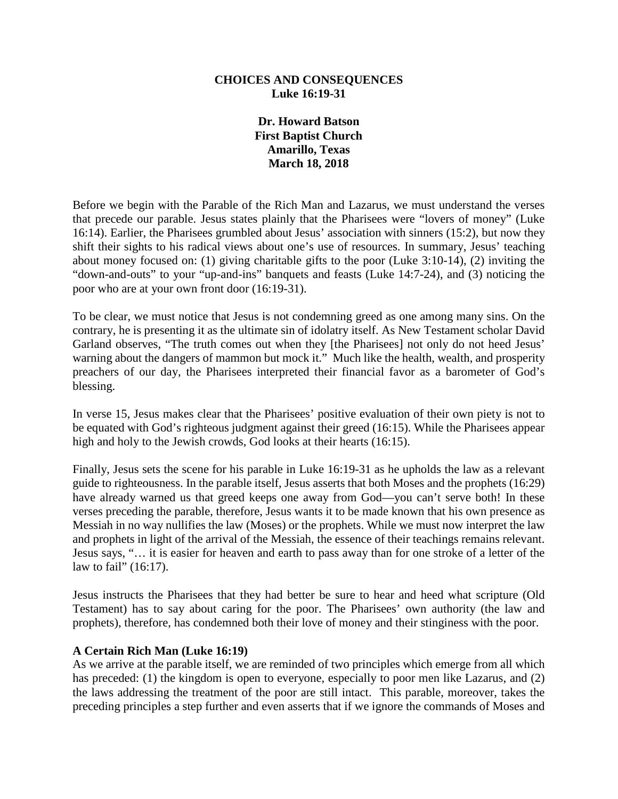### **CHOICES AND CONSEQUENCES Luke 16:19-31**

**Dr. Howard Batson First Baptist Church Amarillo, Texas March 18, 2018**

Before we begin with the Parable of the Rich Man and Lazarus, we must understand the verses that precede our parable. Jesus states plainly that the Pharisees were "lovers of money" (Luke 16:14). Earlier, the Pharisees grumbled about Jesus' association with sinners (15:2), but now they shift their sights to his radical views about one's use of resources. In summary, Jesus' teaching about money focused on: (1) giving charitable gifts to the poor (Luke 3:10-14), (2) inviting the "down-and-outs" to your "up-and-ins" banquets and feasts (Luke 14:7-24), and (3) noticing the poor who are at your own front door (16:19-31).

To be clear, we must notice that Jesus is not condemning greed as one among many sins. On the contrary, he is presenting it as the ultimate sin of idolatry itself. As New Testament scholar David Garland observes, "The truth comes out when they [the Pharisees] not only do not heed Jesus' warning about the dangers of mammon but mock it." Much like the health, wealth, and prosperity preachers of our day, the Pharisees interpreted their financial favor as a barometer of God's blessing.

In verse 15, Jesus makes clear that the Pharisees' positive evaluation of their own piety is not to be equated with God's righteous judgment against their greed (16:15). While the Pharisees appear high and holy to the Jewish crowds, God looks at their hearts (16:15).

Finally, Jesus sets the scene for his parable in Luke 16:19-31 as he upholds the law as a relevant guide to righteousness. In the parable itself, Jesus asserts that both Moses and the prophets (16:29) have already warned us that greed keeps one away from God—you can't serve both! In these verses preceding the parable, therefore, Jesus wants it to be made known that his own presence as Messiah in no way nullifies the law (Moses) or the prophets. While we must now interpret the law and prophets in light of the arrival of the Messiah, the essence of their teachings remains relevant. Jesus says, "… it is easier for heaven and earth to pass away than for one stroke of a letter of the law to fail" (16:17).

Jesus instructs the Pharisees that they had better be sure to hear and heed what scripture (Old Testament) has to say about caring for the poor. The Pharisees' own authority (the law and prophets), therefore, has condemned both their love of money and their stinginess with the poor.

### **A Certain Rich Man (Luke 16:19)**

As we arrive at the parable itself, we are reminded of two principles which emerge from all which has preceded: (1) the kingdom is open to everyone, especially to poor men like Lazarus, and (2) the laws addressing the treatment of the poor are still intact. This parable, moreover, takes the preceding principles a step further and even asserts that if we ignore the commands of Moses and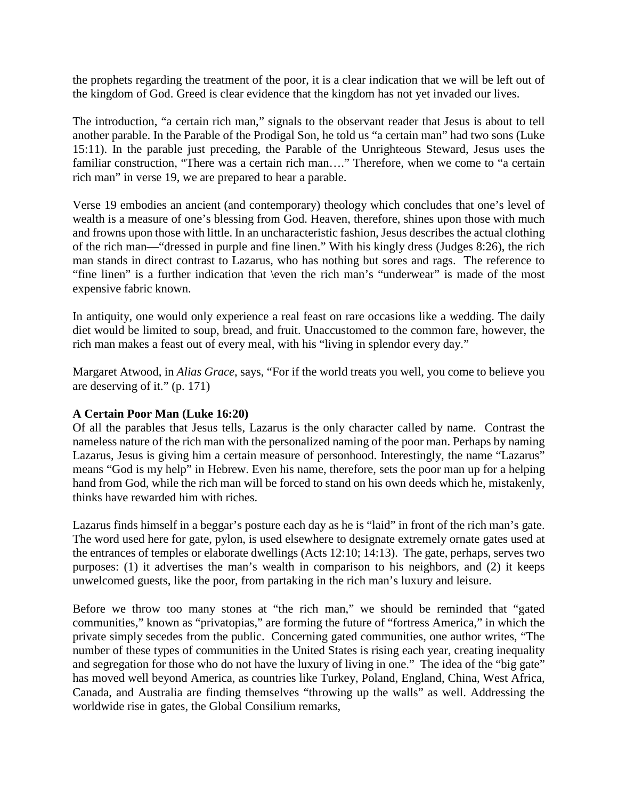the prophets regarding the treatment of the poor, it is a clear indication that we will be left out of the kingdom of God. Greed is clear evidence that the kingdom has not yet invaded our lives.

The introduction, "a certain rich man," signals to the observant reader that Jesus is about to tell another parable. In the Parable of the Prodigal Son, he told us "a certain man" had two sons (Luke 15:11). In the parable just preceding, the Parable of the Unrighteous Steward, Jesus uses the familiar construction, "There was a certain rich man…." Therefore, when we come to "a certain rich man" in verse 19, we are prepared to hear a parable.

Verse 19 embodies an ancient (and contemporary) theology which concludes that one's level of wealth is a measure of one's blessing from God. Heaven, therefore, shines upon those with much and frowns upon those with little. In an uncharacteristic fashion, Jesus describes the actual clothing of the rich man—"dressed in purple and fine linen." With his kingly dress (Judges 8:26), the rich man stands in direct contrast to Lazarus, who has nothing but sores and rags. The reference to "fine linen" is a further indication that \even the rich man's "underwear" is made of the most expensive fabric known.

In antiquity, one would only experience a real feast on rare occasions like a wedding. The daily diet would be limited to soup, bread, and fruit. Unaccustomed to the common fare, however, the rich man makes a feast out of every meal, with his "living in splendor every day."

Margaret Atwood, in *Alias Grace*, says, "For if the world treats you well, you come to believe you are deserving of it." (p. 171)

### **A Certain Poor Man (Luke 16:20)**

Of all the parables that Jesus tells, Lazarus is the only character called by name. Contrast the nameless nature of the rich man with the personalized naming of the poor man. Perhaps by naming Lazarus, Jesus is giving him a certain measure of personhood. Interestingly, the name "Lazarus" means "God is my help" in Hebrew. Even his name, therefore, sets the poor man up for a helping hand from God, while the rich man will be forced to stand on his own deeds which he, mistakenly, thinks have rewarded him with riches.

Lazarus finds himself in a beggar's posture each day as he is "laid" in front of the rich man's gate. The word used here for gate, pylon, is used elsewhere to designate extremely ornate gates used at the entrances of temples or elaborate dwellings (Acts 12:10; 14:13). The gate, perhaps, serves two purposes: (1) it advertises the man's wealth in comparison to his neighbors, and (2) it keeps unwelcomed guests, like the poor, from partaking in the rich man's luxury and leisure.

Before we throw too many stones at "the rich man," we should be reminded that "gated communities," known as "privatopias," are forming the future of "fortress America," in which the private simply secedes from the public. Concerning gated communities, one author writes, "The number of these types of communities in the United States is rising each year, creating inequality and segregation for those who do not have the luxury of living in one." The idea of the "big gate" has moved well beyond America, as countries like Turkey, Poland, England, China, West Africa, Canada, and Australia are finding themselves "throwing up the walls" as well. Addressing the worldwide rise in gates, the Global Consilium remarks,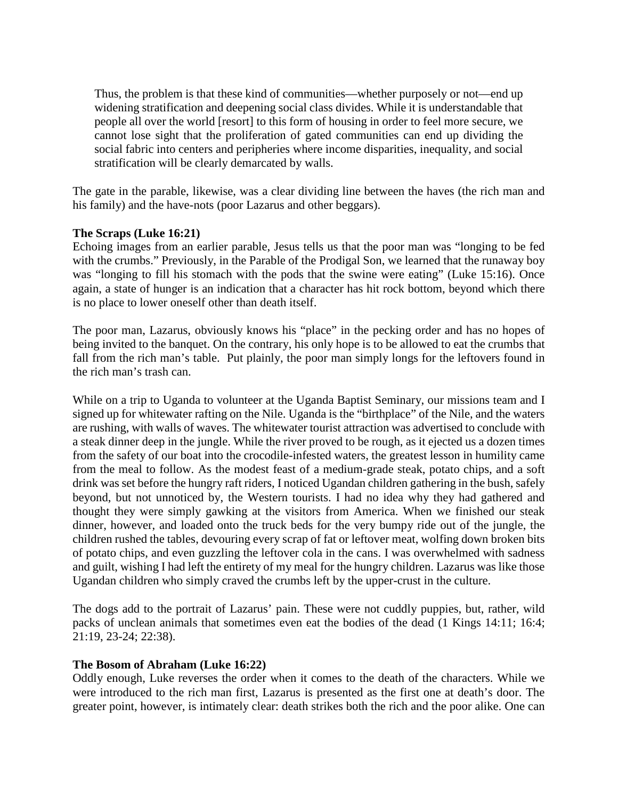Thus, the problem is that these kind of communities—whether purposely or not—end up widening stratification and deepening social class divides. While it is understandable that people all over the world [resort] to this form of housing in order to feel more secure, we cannot lose sight that the proliferation of gated communities can end up dividing the social fabric into centers and peripheries where income disparities, inequality, and social stratification will be clearly demarcated by walls.

The gate in the parable, likewise, was a clear dividing line between the haves (the rich man and his family) and the have-nots (poor Lazarus and other beggars).

## **The Scraps (Luke 16:21)**

Echoing images from an earlier parable, Jesus tells us that the poor man was "longing to be fed with the crumbs." Previously, in the Parable of the Prodigal Son, we learned that the runaway boy was "longing to fill his stomach with the pods that the swine were eating" (Luke 15:16). Once again, a state of hunger is an indication that a character has hit rock bottom, beyond which there is no place to lower oneself other than death itself.

The poor man, Lazarus, obviously knows his "place" in the pecking order and has no hopes of being invited to the banquet. On the contrary, his only hope is to be allowed to eat the crumbs that fall from the rich man's table. Put plainly, the poor man simply longs for the leftovers found in the rich man's trash can.

While on a trip to Uganda to volunteer at the Uganda Baptist Seminary, our missions team and I signed up for whitewater rafting on the Nile. Uganda is the "birthplace" of the Nile, and the waters are rushing, with walls of waves. The whitewater tourist attraction was advertised to conclude with a steak dinner deep in the jungle. While the river proved to be rough, as it ejected us a dozen times from the safety of our boat into the crocodile-infested waters, the greatest lesson in humility came from the meal to follow. As the modest feast of a medium-grade steak, potato chips, and a soft drink was set before the hungry raft riders, I noticed Ugandan children gathering in the bush, safely beyond, but not unnoticed by, the Western tourists. I had no idea why they had gathered and thought they were simply gawking at the visitors from America. When we finished our steak dinner, however, and loaded onto the truck beds for the very bumpy ride out of the jungle, the children rushed the tables, devouring every scrap of fat or leftover meat, wolfing down broken bits of potato chips, and even guzzling the leftover cola in the cans. I was overwhelmed with sadness and guilt, wishing I had left the entirety of my meal for the hungry children. Lazarus was like those Ugandan children who simply craved the crumbs left by the upper-crust in the culture.

The dogs add to the portrait of Lazarus' pain. These were not cuddly puppies, but, rather, wild packs of unclean animals that sometimes even eat the bodies of the dead (1 Kings 14:11; 16:4; 21:19, 23-24; 22:38).

### **The Bosom of Abraham (Luke 16:22)**

Oddly enough, Luke reverses the order when it comes to the death of the characters. While we were introduced to the rich man first, Lazarus is presented as the first one at death's door. The greater point, however, is intimately clear: death strikes both the rich and the poor alike. One can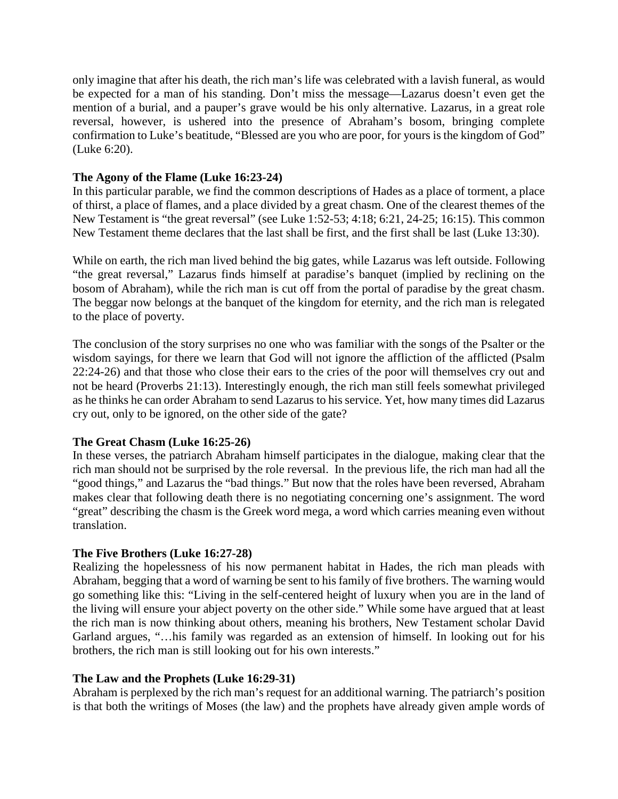only imagine that after his death, the rich man's life was celebrated with a lavish funeral, as would be expected for a man of his standing. Don't miss the message—Lazarus doesn't even get the mention of a burial, and a pauper's grave would be his only alternative. Lazarus, in a great role reversal, however, is ushered into the presence of Abraham's bosom, bringing complete confirmation to Luke's beatitude, "Blessed are you who are poor, for yours is the kingdom of God" (Luke 6:20).

## **The Agony of the Flame (Luke 16:23-24)**

In this particular parable, we find the common descriptions of Hades as a place of torment, a place of thirst, a place of flames, and a place divided by a great chasm. One of the clearest themes of the New Testament is "the great reversal" (see Luke 1:52-53; 4:18; 6:21, 24-25; 16:15). This common New Testament theme declares that the last shall be first, and the first shall be last (Luke 13:30).

While on earth, the rich man lived behind the big gates, while Lazarus was left outside. Following "the great reversal," Lazarus finds himself at paradise's banquet (implied by reclining on the bosom of Abraham), while the rich man is cut off from the portal of paradise by the great chasm. The beggar now belongs at the banquet of the kingdom for eternity, and the rich man is relegated to the place of poverty.

The conclusion of the story surprises no one who was familiar with the songs of the Psalter or the wisdom sayings, for there we learn that God will not ignore the affliction of the afflicted (Psalm 22:24-26) and that those who close their ears to the cries of the poor will themselves cry out and not be heard (Proverbs 21:13). Interestingly enough, the rich man still feels somewhat privileged as he thinks he can order Abraham to send Lazarus to his service. Yet, how many times did Lazarus cry out, only to be ignored, on the other side of the gate?

### **The Great Chasm (Luke 16:25-26)**

In these verses, the patriarch Abraham himself participates in the dialogue, making clear that the rich man should not be surprised by the role reversal. In the previous life, the rich man had all the "good things," and Lazarus the "bad things." But now that the roles have been reversed, Abraham makes clear that following death there is no negotiating concerning one's assignment. The word "great" describing the chasm is the Greek word mega, a word which carries meaning even without translation.

# **The Five Brothers (Luke 16:27-28)**

Realizing the hopelessness of his now permanent habitat in Hades, the rich man pleads with Abraham, begging that a word of warning be sent to his family of five brothers. The warning would go something like this: "Living in the self-centered height of luxury when you are in the land of the living will ensure your abject poverty on the other side." While some have argued that at least the rich man is now thinking about others, meaning his brothers, New Testament scholar David Garland argues, "…his family was regarded as an extension of himself. In looking out for his brothers, the rich man is still looking out for his own interests."

### **The Law and the Prophets (Luke 16:29-31)**

Abraham is perplexed by the rich man's request for an additional warning. The patriarch's position is that both the writings of Moses (the law) and the prophets have already given ample words of